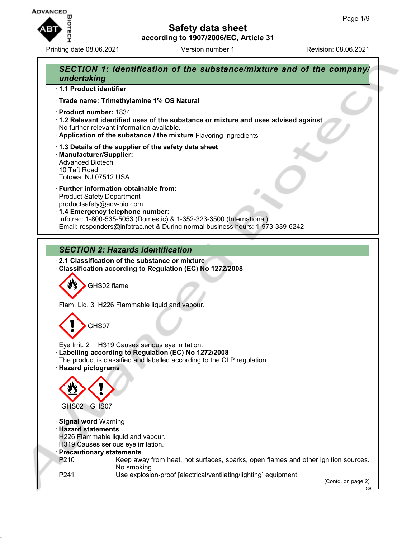

Printing date 08.06.2021 **Version number 1** Revision: 08.06.2021

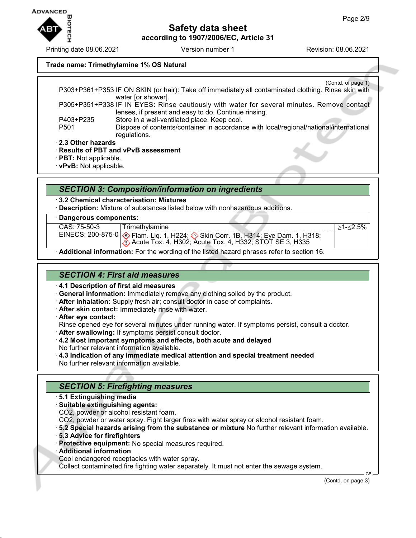≥1-≤2.5%

**Safety data sheet according to 1907/2006/EC, Article 31**

#### **Trade name: Trimethylamine 1% OS Natural**

(Contd. of page 1) P303+P361+P353 IF ON SKIN (or hair): Take off immediately all contaminated clothing. Rinse skin with water [or shower]. P305+P351+P338 IF IN EYES: Rinse cautiously with water for several minutes. Remove contact lenses, if present and easy to do. Continue rinsing. P403+P235 Store in a well-ventilated place. Keep cool. P501 Dispose of contents/container in accordance with local/regional/national/international regulations. · **2.3 Other hazards**

· **Results of PBT and vPvB assessment**

· **PBT:** Not applicable.

· **vPvB:** Not applicable.

### *SECTION 3: Composition/information on ingredients*

· **3.2 Chemical characterisation: Mixtures**

· **Description:** Mixture of substances listed below with nonhazardous additions.

#### · **Dangerous components:**

| CAS: 75-50-3 | Trimethylamine                                                                                     |
|--------------|----------------------------------------------------------------------------------------------------|
|              | EINECS: 200-875-0 $\circ$ Flam. Liq. 1, H224; $\circledast$ Skin Corr. 1B, H314; Eye Dam. 1, H318; |
|              | $\langle \cdot \rangle$ Acute Tox. 4, H302; Acute Tox. 4, H332; STOT SE 3, H335                    |

· **Additional information:** For the wording of the listed hazard phrases refer to section 16.

### *SECTION 4: First aid measures*

· **4.1 Description of first aid measures**

- · **General information:** Immediately remove any clothing soiled by the product.
- · **After inhalation:** Supply fresh air; consult doctor in case of complaints.
- · **After skin contact:** Immediately rinse with water.

· **After eye contact:**

Rinse opened eye for several minutes under running water. If symptoms persist, consult a doctor.

- · **After swallowing:** If symptoms persist consult doctor.
- · **4.2 Most important symptoms and effects, both acute and delayed** No further relevant information available.
- · **4.3 Indication of any immediate medical attention and special treatment needed** No further relevant information available.

### *SECTION 5: Firefighting measures*

- · **5.1 Extinguishing media**
- · **Suitable extinguishing agents:**
- CO2, powder or alcohol resistant foam.
- CO2, powder or water spray. Fight larger fires with water spray or alcohol resistant foam.
- · **5.2 Special hazards arising from the substance or mixture** No further relevant information available.
- · **5.3 Advice for firefighters**
- · **Protective equipment:** No special measures required.
- · **Additional information**
- Cool endangered receptacles with water spray.

Collect contaminated fire fighting water separately. It must not enter the sewage system.

(Contd. on page 3)

GB



Printing date 08.06.2021 Version number 1 Revision: 08.06.2021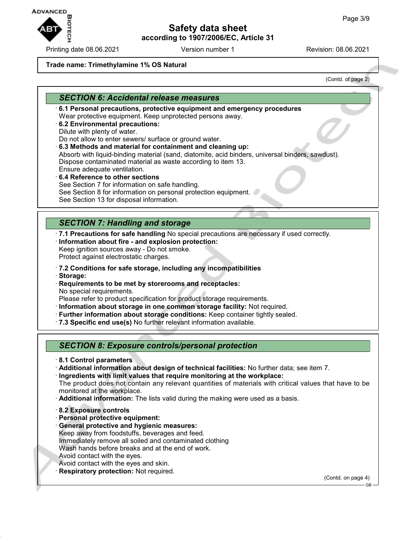**ADVANCED** 

Printing date 08.06.2021 **Version number 1** Revision: 08.06.2021

# **Safety data sheet according to 1907/2006/EC, Article 31**

#### **Trade name: Trimethylamine 1% OS Natural**

(Contd. of page 2)

## *SECTION 6: Accidental release measures*

- · **6.1 Personal precautions, protective equipment and emergency procedures** Wear protective equipment. Keep unprotected persons away.
- · **6.2 Environmental precautions:**
- Dilute with plenty of water.

Do not allow to enter sewers/ surface or ground water.

· **6.3 Methods and material for containment and cleaning up:**

Absorb with liquid-binding material (sand, diatomite, acid binders, universal binders, sawdust). Dispose contaminated material as waste according to item 13. Ensure adequate ventilation.

- · **6.4 Reference to other sections** See Section 7 for information on safe handling. See Section 8 for information on personal protection equipment.
- See Section 13 for disposal information.

# *SECTION 7: Handling and storage*

- · **7.1 Precautions for safe handling** No special precautions are necessary if used correctly.
- · **Information about fire and explosion protection:**
- Keep ignition sources away Do not smoke. Protect against electrostatic charges.
- · **7.2 Conditions for safe storage, including any incompatibilities**
- · **Storage:**
- · **Requirements to be met by storerooms and receptacles:** No special requirements.

Please refer to product specification for product storage requirements.

- · **Information about storage in one common storage facility:** Not required.
- · **Further information about storage conditions:** Keep container tightly sealed.
- · **7.3 Specific end use(s)** No further relevant information available.

### *SECTION 8: Exposure controls/personal protection*

- · **8.1 Control parameters**
- · **Additional information about design of technical facilities:** No further data; see item 7.
- · **Ingredients with limit values that require monitoring at the workplace:** The product does not contain any relevant quantities of materials with critical values that have to be monitored at the workplace.
- · **Additional information:** The lists valid during the making were used as a basis.
- · **8.2 Exposure controls**
- · **Personal protective equipment:**
- · **General protective and hygienic measures:** Keep away from foodstuffs, beverages and feed. Immediately remove all soiled and contaminated clothing Wash hands before breaks and at the end of work. Avoid contact with the eyes. Avoid contact with the eyes and skin.
- **Respiratory protection: Not required.**

(Contd. on page 4)

GB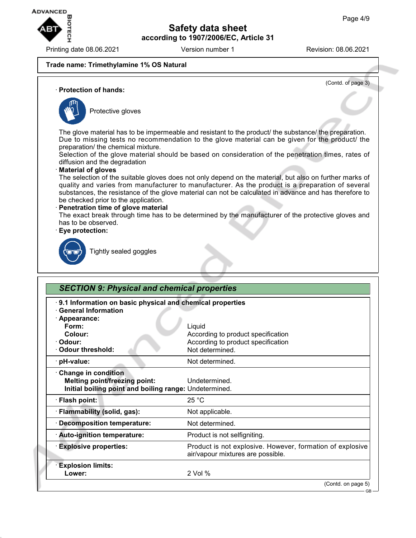

Printing date 08.06.2021 Version number 1 Revision: 08.06.2021

(Contd. of page 3)

### **Trade name: Trimethylamine 1% OS Natural**

· **Protection of hands:**



Protective gloves

The glove material has to be impermeable and resistant to the product/ the substance/ the preparation. Due to missing tests no recommendation to the glove material can be given for the product/ the preparation/ the chemical mixture.

Selection of the glove material should be based on consideration of the penetration times, rates of diffusion and the degradation

### · **Material of gloves**

The selection of the suitable gloves does not only depend on the material, but also on further marks of quality and varies from manufacturer to manufacturer. As the product is a preparation of several substances, the resistance of the glove material can not be calculated in advance and has therefore to be checked prior to the application.

#### · **Penetration time of glove material**

The exact break through time has to be determined by the manufacturer of the protective gloves and has to be observed.

#### · **Eye protection:**



Tightly sealed goggles

| 9.1 Information on basic physical and chemical properties |                                                                                                |
|-----------------------------------------------------------|------------------------------------------------------------------------------------------------|
| <b>General Information</b>                                |                                                                                                |
| · Appearance:                                             |                                                                                                |
| Form:                                                     | Liquid                                                                                         |
| Colour:                                                   | According to product specification                                                             |
| · Odour:                                                  | According to product specification                                                             |
| <b>Odour threshold:</b>                                   | Not determined.                                                                                |
| · pH-value:                                               | Not determined.                                                                                |
| <b>Change in condition</b>                                |                                                                                                |
| <b>Melting point/freezing point:</b>                      | Undetermined.                                                                                  |
| Initial boiling point and boiling range: Undetermined.    |                                                                                                |
| · Flash point:                                            | 25 °C                                                                                          |
| · Flammability (solid, gas):                              | Not applicable.                                                                                |
| · Decomposition temperature:                              | Not determined.                                                                                |
| · Auto-ignition temperature:                              | Product is not selfigniting.                                                                   |
| <b>Explosive properties:</b>                              | Product is not explosive. However, formation of explosive<br>air/vapour mixtures are possible. |
| <b>Explosion limits:</b>                                  |                                                                                                |
| Lower:                                                    | 2 Vol %                                                                                        |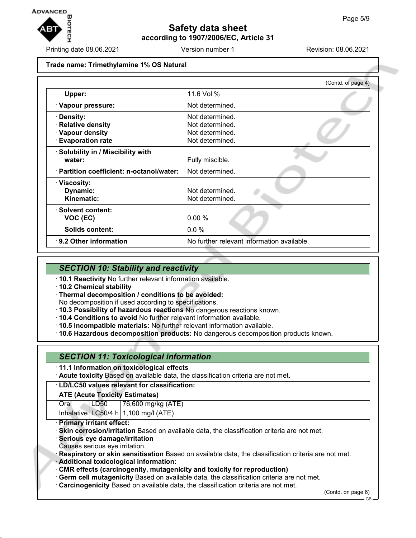

Printing date 08.06.2021 **Version number 1** Revision: 08.06.2021

#### **Trade name: Trimethylamine 1% OS Natural**

|                                                                                 | (Contd. of page 4)                                                       |
|---------------------------------------------------------------------------------|--------------------------------------------------------------------------|
| Upper:                                                                          | 11.6 Vol %                                                               |
| · Vapour pressure:                                                              | Not determined.                                                          |
| <b>Density:</b><br>· Relative density<br>· Vapour density<br>· Evaporation rate | Not determined.<br>Not determined.<br>Not determined.<br>Not determined. |
| · Solubility in / Miscibility with<br>water:                                    | Fully miscible.                                                          |
| · Partition coefficient: n-octanol/water:                                       | Not determined.                                                          |
| · Viscosity:<br>Dynamic:<br>Kinematic:                                          | Not determined.<br>Not determined.                                       |
| · Solvent content:<br>VOC (EC)                                                  | 0.00%                                                                    |
| Solids content:                                                                 | 0.0 %                                                                    |
| $\cdot$ 9.2 Other information                                                   | No further relevant information available.                               |

### *SECTION 10: Stability and reactivity*

- · **10.1 Reactivity** No further relevant information available.
- · **10.2 Chemical stability**
- · **Thermal decomposition / conditions to be avoided:** No decomposition if used according to specifications.
- · **10.3 Possibility of hazardous reactions** No dangerous reactions known.
- · **10.4 Conditions to avoid** No further relevant information available.
- · **10.5 Incompatible materials:** No further relevant information available.
- · **10.6 Hazardous decomposition products:** No dangerous decomposition products known.

## *SECTION 11: Toxicological information*

- · **11.1 Information on toxicological effects**
- · **Acute toxicity** Based on available data, the classification criteria are not met.

#### · **LD/LC50 values relevant for classification:**

### **ATE (Acute Toxicity Estimates)**

Oral LD50 76,600 mg/kg (ATE)

Inhalative  $LC50/4$  h  $1,100$  mg/l (ATE)

- · **Primary irritant effect:**
- · **Skin corrosion/irritation** Based on available data, the classification criteria are not met.
- · **Serious eye damage/irritation**
- Causes serious eye irritation.
- · **Respiratory or skin sensitisation** Based on available data, the classification criteria are not met.
- · **Additional toxicological information:**
- · **CMR effects (carcinogenity, mutagenicity and toxicity for reproduction)**
- · **Germ cell mutagenicity** Based on available data, the classification criteria are not met.
- · **Carcinogenicity** Based on available data, the classification criteria are not met.

(Contd. on page 6)

GB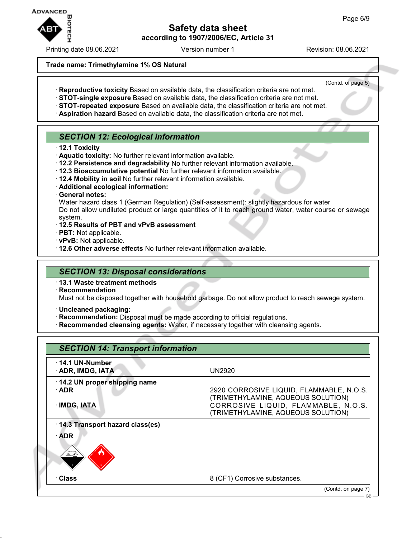**ADVANCED** 

# **Safety data sheet according to 1907/2006/EC, Article 31**

Printing date 08.06.2021 Version number 1 Revision: 08.06.2021

(Contd. of page 5)

#### **Trade name: Trimethylamine 1% OS Natural**

- · **Reproductive toxicity** Based on available data, the classification criteria are not met.
- · **STOT-single exposure** Based on available data, the classification criteria are not met.
- · **STOT-repeated exposure** Based on available data, the classification criteria are not met.
- · **Aspiration hazard** Based on available data, the classification criteria are not met.

### *SECTION 12: Ecological information*

- · **12.1 Toxicity**
- · **Aquatic toxicity:** No further relevant information available.
- · **12.2 Persistence and degradability** No further relevant information available.
- · **12.3 Bioaccumulative potential** No further relevant information available.
- · **12.4 Mobility in soil** No further relevant information available.
- · **Additional ecological information:**
- · **General notes:**

Water hazard class 1 (German Regulation) (Self-assessment): slightly hazardous for water Do not allow undiluted product or large quantities of it to reach ground water, water course or sewage system.

- · **12.5 Results of PBT and vPvB assessment**
- · **PBT:** Not applicable.
- · **vPvB:** Not applicable.
- · **12.6 Other adverse effects** No further relevant information available.

### *SECTION 13: Disposal considerations*

- · **13.1 Waste treatment methods**
- · **Recommendation**

Must not be disposed together with household garbage. Do not allow product to reach sewage system.

- · **Uncleaned packaging:**
- · **Recommendation:** Disposal must be made according to official regulations.
- · **Recommended cleansing agents:** Water, if necessary together with cleansing agents.

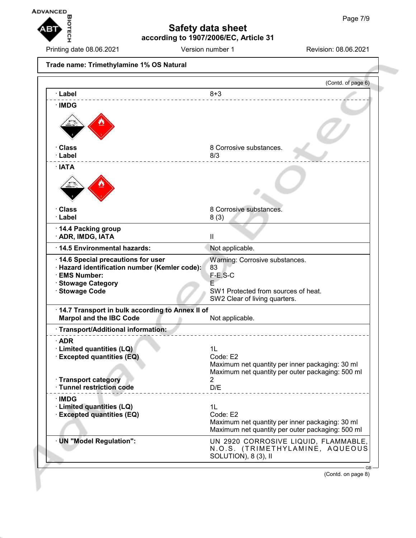

Printing date 08.06.2021 **Version number 1** Revision: 08.06.2021

**Trade name: Trimethylamine 1% OS Natural** (Contd. of page 6) · **Label** 8+3 · **IMDG Class** 8 Corrosive substances. · **Label** 8/3 · **IATA Class** 8 Corrosive substances. · **Label** 8 (3) · **14.4 Packing group** · **ADR, IMDG, IATA** II · **14.5 Environmental hazards:** Not applicable. · **14.6 Special precautions for user** Warning: Corrosive substances. · **Hazard identification number (Kemler code):** 83  $\cdot$  EMS Number: · **Stowage Category** E SW1 Protected from sources of heat. SW2 Clear of living quarters. · **14.7 Transport in bulk according to Annex II of Marpol and the IBC Code** Not applicable. · **Transport/Additional information:** · **ADR** · **Limited quantities (LQ)** 1L **Excepted quantities (EQ)** Maximum net quantity per inner packaging: 30 ml Maximum net quantity per outer packaging: 500 ml · **Transport category** 2 · **Tunnel restriction code** D/E · **IMDG** · **Limited quantities (LQ)** 1L **Excepted quantities (EQ)** Code: E2 Maximum net quantity per inner packaging: 30 ml Maximum net quantity per outer packaging: 500 ml · **UN "Model Regulation":** UN 2920 CORROSIVE LIQUID, FLAMMABLE, N.O.S. (TRIMETHYLAMINE, AQUEOUS SOLUTION), 8 (3), II

(Contd. on page 8)

GB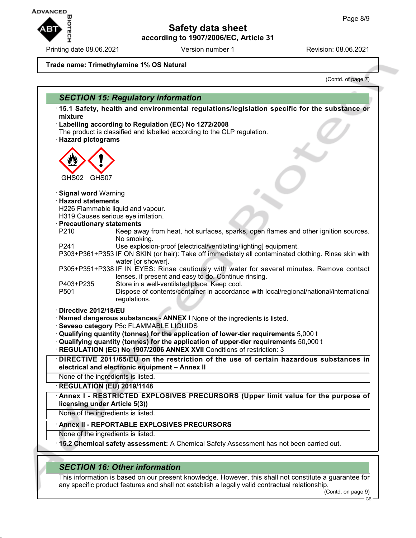**Safety data sheet**

**according to 1907/2006/EC, Article 31**

Printing date 08.06.2021 Version number 1 Revision: 08.06.2021

**ADVANCED** 

(Contd. of page 7)

#### **Trade name: Trimethylamine 1% OS Natural**

*SECTION 15: Regulatory information* · **15.1 Safety, health and environmental regulations/legislation specific for the substance or mixture** · **Labelling according to Regulation (EC) No 1272/2008** The product is classified and labelled according to the CLP regulation. · **Hazard pictograms** GHS02 GHS07 · **Signal word** Warning · **Hazard statements** H226 Flammable liquid and vapour. H319 Causes serious eye irritation. · **Precautionary statements** P210 Keep away from heat, hot surfaces, sparks, open flames and other ignition sources. No smoking. P241 Use explosion-proof [electrical/ventilating/lighting] equipment. P303+P361+P353 IF ON SKIN (or hair): Take off immediately all contaminated clothing. Rinse skin with water [or shower]. P305+P351+P338 IF IN EYES: Rinse cautiously with water for several minutes. Remove contact lenses, if present and easy to do. Continue rinsing. P403+P235 Store in a well-ventilated place. Keep cool. P501 Dispose of contents/container in accordance with local/regional/national/international regulations. · **Directive 2012/18/EU** · **Named dangerous substances - ANNEX I** None of the ingredients is listed. · **Seveso category** P5c FLAMMABLE LIQUIDS · **Qualifying quantity (tonnes) for the application of lower-tier requirements** 5,000 t · **Qualifying quantity (tonnes) for the application of upper-tier requirements** 50,000 t · **REGULATION (EC) No 1907/2006 ANNEX XVII** Conditions of restriction: 3 · **DIRECTIVE 2011/65/EU on the restriction of the use of certain hazardous substances in electrical and electronic equipment – Annex II** None of the ingredients is listed. · **REGULATION (EU) 2019/1148** · **Annex I - RESTRICTED EXPLOSIVES PRECURSORS (Upper limit value for the purpose of licensing under Article 5(3))** None of the ingredients is listed. · **Annex II - REPORTABLE EXPLOSIVES PRECURSORS** None of the ingredients is listed. · **15.2 Chemical safety assessment:** A Chemical Safety Assessment has not been carried out.

## *SECTION 16: Other information*

This information is based on our present knowledge. However, this shall not constitute a guarantee for any specific product features and shall not establish a legally valid contractual relationship.

(Contd. on page 9)

GB